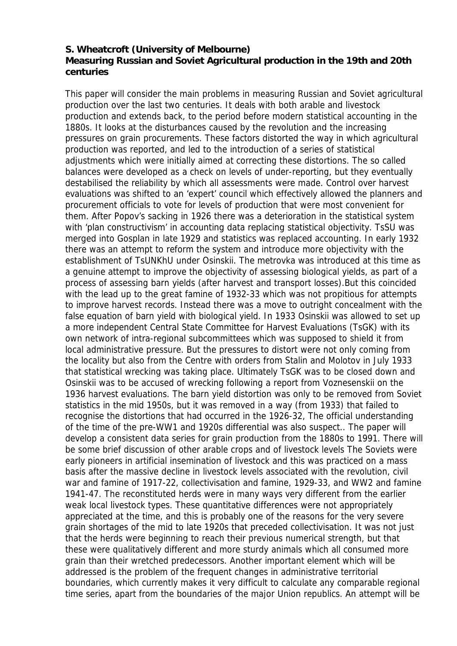## **S. Wheatcroft (University of Melbourne) Measuring Russian and Soviet Agricultural production in the 19th and 20th centuries**

This paper will consider the main problems in measuring Russian and Soviet agricultural production over the last two centuries. It deals with both arable and livestock production and extends back, to the period before modern statistical accounting in the 1880s. It looks at the disturbances caused by the revolution and the increasing pressures on grain procurements. These factors distorted the way in which agricultural production was reported, and led to the introduction of a series of statistical adjustments which were initially aimed at correcting these distortions. The so called balances were developed as a check on levels of under-reporting, but they eventually destabilised the reliability by which all assessments were made. Control over harvest evaluations was shifted to an 'expert' council which effectively allowed the planners and procurement officials to vote for levels of production that were most convenient for them. After Popov's sacking in 1926 there was a deterioration in the statistical system with 'plan constructivism' in accounting data replacing statistical objectivity. TsSU was merged into Gosplan in late 1929 and statistics was replaced accounting. In early 1932 there was an attempt to reform the system and introduce more objectivity with the establishment of TsUNKhU under Osinskii. The metrovka was introduced at this time as a genuine attempt to improve the objectivity of assessing biological yields, as part of a process of assessing barn yields (after harvest and transport losses).But this coincided with the lead up to the great famine of 1932-33 which was not propitious for attempts to improve harvest records. Instead there was a move to outright concealment with the false equation of barn yield with biological yield. In 1933 Osinskii was allowed to set up a more independent Central State Committee for Harvest Evaluations (TsGK) with its own network of intra-regional subcommittees which was supposed to shield it from local administrative pressure. But the pressures to distort were not only coming from the locality but also from the Centre with orders from Stalin and Molotov in July 1933 that statistical wrecking was taking place. Ultimately TsGK was to be closed down and Osinskii was to be accused of wrecking following a report from Voznesenskii on the 1936 harvest evaluations. The barn yield distortion was only to be removed from Soviet statistics in the mid 1950s, but it was removed in a way (from 1933) that failed to recognise the distortions that had occurred in the 1926-32, The official understanding of the time of the pre-WW1 and 1920s differential was also suspect.. The paper will develop a consistent data series for grain production from the 1880s to 1991. There will be some brief discussion of other arable crops and of livestock levels The Soviets were early pioneers in artificial insemination of livestock and this was practiced on a mass basis after the massive decline in livestock levels associated with the revolution, civil war and famine of 1917-22, collectivisation and famine, 1929-33, and WW2 and famine 1941-47. The reconstituted herds were in many ways very different from the earlier weak local livestock types. These quantitative differences were not appropriately appreciated at the time, and this is probably one of the reasons for the very severe grain shortages of the mid to late 1920s that preceded collectivisation. It was not just that the herds were beginning to reach their previous numerical strength, but that these were qualitatively different and more sturdy animals which all consumed more grain than their wretched predecessors. Another important element which will be addressed is the problem of the frequent changes in administrative territorial boundaries, which currently makes it very difficult to calculate any comparable regional time series, apart from the boundaries of the major Union republics. An attempt will be